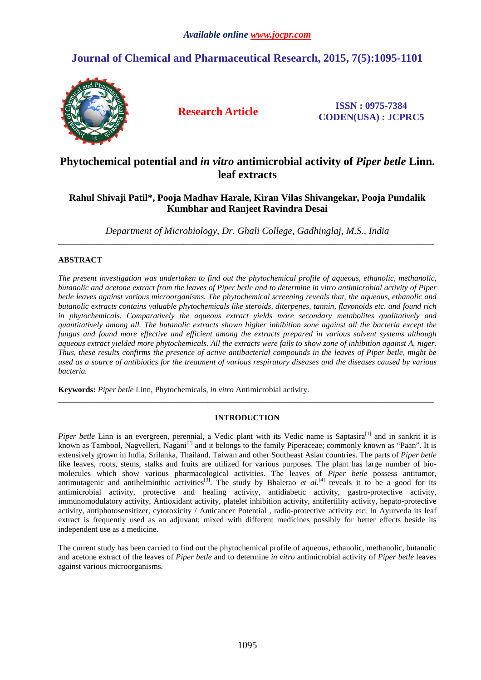# **Journal of Chemical and Pharmaceutical Research, 2015, 7(5):1095-1101**



**Research Article ISSN : 0975-7384 CODEN(USA) : JCPRC5**

## **Phytochemical potential and** *in vitro* **antimicrobial activity of** *Piper betle* **Linn. leaf extracts**

## **Rahul Shivaji Patil\*, Pooja Madhav Harale, Kiran Vilas Shivangekar, Pooja Pundalik Kumbhar and Ranjeet Ravindra Desai**

*Department of Microbiology, Dr. Ghali College, Gadhinglaj, M.S., India*   $\overline{a}$  , and the contribution of the contribution of the contribution of the contribution of the contribution of the contribution of the contribution of the contribution of the contribution of the contribution of the co

### **ABSTRACT**

*The present investigation was undertaken to find out the phytochemical profile of aqueous, ethanolic, methanolic, butanolic and acetone extract from the leaves of Piper betle and to determine in vitro antimicrobial activity of Piper betle leaves against various microorganisms. The phytochemical screening reveals that, the aqueous, ethanolic and butanolic extracts contains valuable phytochemicals like steroids, diterpenes, tannin, flavonoids etc. and found rich in phytochemicals. Comparatively the aqueous extract yields more secondary metabolites qualitatively and quantitatively among all. The butanolic extracts shown higher inhibition zone against all the bacteria except the fungus and found more effective and efficient among the extracts prepared in various solvent systems although aqueous extract yielded more phytochemicals. All the extracts were fails to show zone of inhibition against A. niger. Thus, these results confirms the presence of active antibacterial compounds in the leaves of Piper betle, might be used as a source of antibiotics for the treatment of various respiratory diseases and the diseases caused by various bacteria.* 

**Keywords:** *Piper betle* Linn, Phytochemicals, *in vitro* Antimicrobial activity.

### **INTRODUCTION**

\_\_\_\_\_\_\_\_\_\_\_\_\_\_\_\_\_\_\_\_\_\_\_\_\_\_\_\_\_\_\_\_\_\_\_\_\_\_\_\_\_\_\_\_\_\_\_\_\_\_\_\_\_\_\_\_\_\_\_\_\_\_\_\_\_\_\_\_\_\_\_\_\_\_\_\_\_\_\_\_\_\_\_\_\_\_\_\_\_\_\_\_\_

*Piper betle* Linn is an evergreen, perennial, a Vedic plant with its Vedic name is Saptasira<sup>[1]</sup> and in sankrit it is known as Tambool, Nagvelleri, Nagani<sup>[2]</sup> and it belongs to the family Piperaceae; commonly known as "Paan". It is extensively grown in India, Srilanka, Thailand, Taiwan and other Southeast Asian countries. The parts of *Piper betle*  like leaves, roots, stems, stalks and fruits are utilized for various purposes. The plant has large number of biomolecules which show various pharmacological activities. The leaves of *Piper betle* possess antitumor, antimutagenic and antihelminthic activities<sup>[3]</sup>. The study by Bhalerao *et al.*<sup>[4]</sup> reveals it to be a good for its antimicrobial activity, protective and healing activity, antidiabetic activity, gastro-protective activity, immunomodulatory activity, Antioxidant activity, platelet inhibition activity, antifertility activity, hepato-protective activity, antiphotosensitizer, cytotoxicity / Anticancer Potential , radio-protective activity etc. In Ayurveda its leaf extract is frequently used as an adjuvant; mixed with different medicines possibly for better effects beside its independent use as a medicine.

The current study has been carried to find out the phytochemical profile of aqueous, ethanolic, methanolic, butanolic and acetone extract of the leaves of *Piper betle* and to determine *in vitro* antimicrobial activity of *Piper betle* leaves against various microorganisms.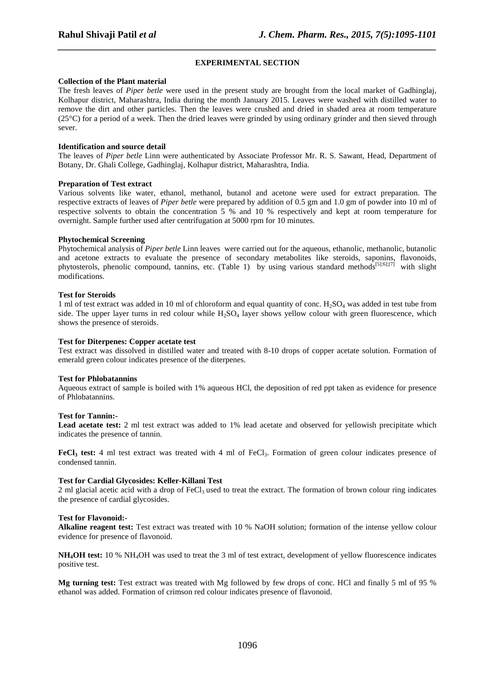### **EXPERIMENTAL SECTION**

*\_\_\_\_\_\_\_\_\_\_\_\_\_\_\_\_\_\_\_\_\_\_\_\_\_\_\_\_\_\_\_\_\_\_\_\_\_\_\_\_\_\_\_\_\_\_\_\_\_\_\_\_\_\_\_\_\_\_\_\_\_\_\_\_\_\_\_\_\_\_\_\_\_\_\_\_\_\_*

#### **Collection of the Plant material**

The fresh leaves of *Piper betle* were used in the present study are brought from the local market of Gadhinglaj, Kolhapur district, Maharashtra, India during the month January 2015. Leaves were washed with distilled water to remove the dirt and other particles. Then the leaves were crushed and dried in shaded area at room temperature  $(25^{\circ}C)$  for a period of a week. Then the dried leaves were grinded by using ordinary grinder and then sieved through sever.

#### **Identification and source detail**

The leaves of *Piper betle* Linn were authenticated by Associate Professor Mr. R. S. Sawant, Head, Department of Botany, Dr. Ghali College, Gadhinglaj, Kolhapur district, Maharashtra, India.

#### **Preparation of Test extract**

Various solvents like water, ethanol, methanol, butanol and acetone were used for extract preparation. The respective extracts of leaves of *Piper betle* were prepared by addition of 0.5 gm and 1.0 gm of powder into 10 ml of respective solvents to obtain the concentration 5 % and 10 % respectively and kept at room temperature for overnight. Sample further used after centrifugation at 5000 rpm for 10 minutes.

#### **Phytochemical Screening**

Phytochemical analysis of *Piper betle* Linn leaves were carried out for the aqueous, ethanolic, methanolic, butanolic and acetone extracts to evaluate the presence of secondary metabolites like steroids, saponins, flavonoids, phytosterols, phenolic compound, tannins, etc. (Table 1) by using various standard methods<sup>[5];6];[7]</sup> with slight modifications.

#### **Test for Steroids**

1 ml of test extract was added in 10 ml of chloroform and equal quantity of conc.  $H_2SO_4$  was added in test tube from side. The upper layer turns in red colour while  $H_2SO_4$  layer shows yellow colour with green fluorescence, which shows the presence of steroids.

#### **Test for Diterpenes: Copper acetate test**

Test extract was dissolved in distilled water and treated with 8-10 drops of copper acetate solution. Formation of emerald green colour indicates presence of the diterpenes.

#### **Test for Phlobatannins**

Aqueous extract of sample is boiled with 1% aqueous HCl, the deposition of red ppt taken as evidence for presence of Phlobatannins.

#### **Test for Tannin:-**

**Lead acetate test:** 2 ml test extract was added to 1% lead acetate and observed for yellowish precipitate which indicates the presence of tannin.

**FeCl<sub>3</sub>** test: 4 ml test extract was treated with 4 ml of FeCl<sub>3</sub>. Formation of green colour indicates presence of condensed tannin.

#### **Test for Cardial Glycosides: Keller-Killani Test**

2 ml glacial acetic acid with a drop of  $FeCl<sub>3</sub>$  used to treat the extract. The formation of brown colour ring indicates the presence of cardial glycosides.

#### **Test for Flavonoid:-**

**Alkaline reagent test:** Test extract was treated with 10 % NaOH solution; formation of the intense yellow colour evidence for presence of flavonoid.

**NH4OH test:** 10 % NH4OH was used to treat the 3 ml of test extract, development of yellow fluorescence indicates positive test.

**Mg turning test:** Test extract was treated with Mg followed by few drops of conc. HCl and finally 5 ml of 95 % ethanol was added. Formation of crimson red colour indicates presence of flavonoid.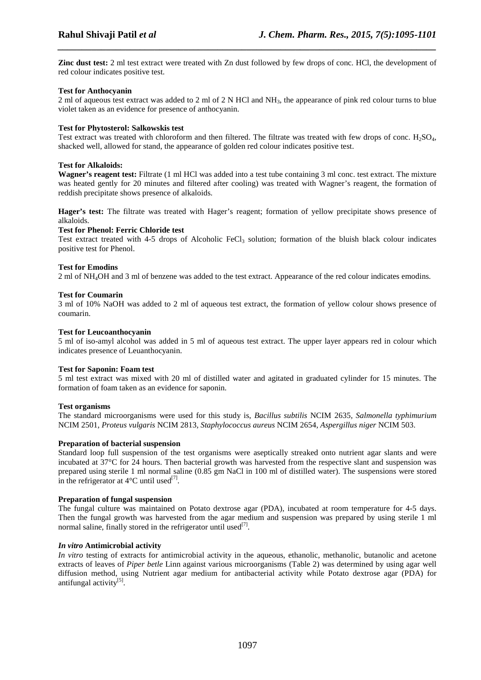**Zinc dust test:** 2 ml test extract were treated with Zn dust followed by few drops of conc. HCl, the development of red colour indicates positive test.

*\_\_\_\_\_\_\_\_\_\_\_\_\_\_\_\_\_\_\_\_\_\_\_\_\_\_\_\_\_\_\_\_\_\_\_\_\_\_\_\_\_\_\_\_\_\_\_\_\_\_\_\_\_\_\_\_\_\_\_\_\_\_\_\_\_\_\_\_\_\_\_\_\_\_\_\_\_\_*

#### **Test for Anthocyanin**

2 ml of aqueous test extract was added to 2 ml of 2 N HCl and NH<sub>3</sub>, the appearance of pink red colour turns to blue violet taken as an evidence for presence of anthocyanin.

#### **Test for Phytosterol: Salkowskis test**

Test extract was treated with chloroform and then filtered. The filtrate was treated with few drops of conc.  $H_2SO_4$ , shacked well, allowed for stand, the appearance of golden red colour indicates positive test.

#### **Test for Alkaloids:**

**Wagner's reagent test:** Filtrate (1 ml HCl was added into a test tube containing 3 ml conc. test extract. The mixture was heated gently for 20 minutes and filtered after cooling) was treated with Wagner's reagent, the formation of reddish precipitate shows presence of alkaloids.

**Hager's test:** The filtrate was treated with Hager's reagent; formation of yellow precipitate shows presence of alkaloids.

#### **Test for Phenol: Ferric Chloride test**

Test extract treated with 4-5 drops of Alcoholic FeCl<sub>3</sub> solution; formation of the bluish black colour indicates positive test for Phenol.

#### **Test for Emodins**

2 ml of NH4OH and 3 ml of benzene was added to the test extract. Appearance of the red colour indicates emodins.

#### **Test for Coumarin**

3 ml of 10% NaOH was added to 2 ml of aqueous test extract, the formation of yellow colour shows presence of coumarin.

#### **Test for Leucoanthocyanin**

5 ml of iso-amyl alcohol was added in 5 ml of aqueous test extract. The upper layer appears red in colour which indicates presence of Leuanthocyanin.

#### **Test for Saponin: Foam test**

5 ml test extract was mixed with 20 ml of distilled water and agitated in graduated cylinder for 15 minutes. The formation of foam taken as an evidence for saponin.

#### **Test.organisms**

The standard microorganisms were used for this study is, *Bacillus subtilis* NCIM 2635*, Salmonella typhimurium*  NCIM 2501*, Proteus vulgaris* NCIM 2813*, Staphylococcus aureus* NCIM 2654*, Aspergillus niger* NCIM 503.

#### **Preparation of bacterial suspension**

Standard loop full suspension of the test organisms were aseptically streaked onto nutrient agar slants and were incubated at 37°C for 24 hours. Then bacterial growth was harvested from the respective slant and suspension was prepared using sterile 1 ml normal saline (0.85 gm NaCl in 100 ml of distilled water). The suspensions were stored in the refrigerator at  $4^{\circ}$ C until used<sup>[7]</sup>.

#### **Preparation of fungal suspension**

The fungal culture was maintained on Potato dextrose agar (PDA), incubated at room temperature for 4-5 days. Then the fungal growth was harvested from the agar medium and suspension was prepared by using sterile 1 ml normal saline, finally stored in the refrigerator until used $^{[7]}$ .

#### *In vitro* **Antimicrobial activity**

*In vitro* testing of extracts for antimicrobial activity in the aqueous, ethanolic, methanolic, butanolic and acetone extracts of leaves of *Piper betle* Linn against various microorganisms (Table 2) was determined by using agar well diffusion method, using Nutrient agar medium for antibacterial activity while Potato dextrose agar (PDA) for antifungal activity<sup>[5]</sup>.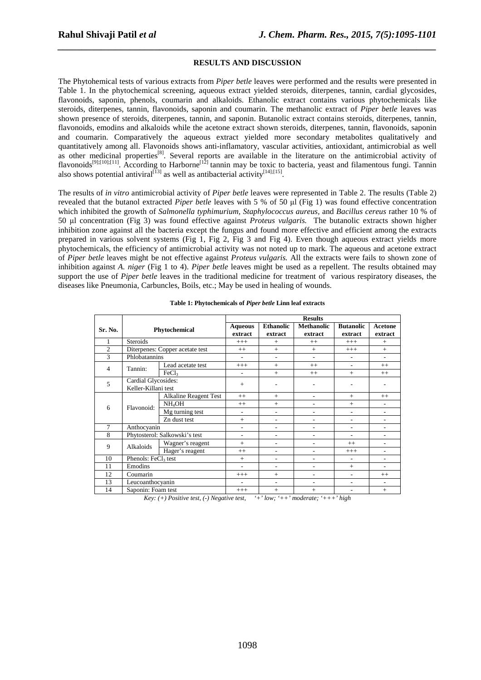#### **RESULTS AND DISCUSSION**

*\_\_\_\_\_\_\_\_\_\_\_\_\_\_\_\_\_\_\_\_\_\_\_\_\_\_\_\_\_\_\_\_\_\_\_\_\_\_\_\_\_\_\_\_\_\_\_\_\_\_\_\_\_\_\_\_\_\_\_\_\_\_\_\_\_\_\_\_\_\_\_\_\_\_\_\_\_\_*

The Phytohemical tests of various extracts from *Piper betle* leaves were performed and the results were presented in Table 1. In the phytochemical screening, aqueous extract yielded steroids, diterpenes, tannin, cardial glycosides, flavonoids, saponin, phenols, coumarin and alkaloids. Ethanolic extract contains various phytochemicals like steroids, diterpenes, tannin, flavonoids, saponin and coumarin. The methanolic extract of *Piper betle* leaves was shown presence of steroids, diterpenes, tannin, and saponin. Butanolic extract contains steroids, diterpenes, tannin, flavonoids, emodins and alkaloids while the acetone extract shown steroids, diterpenes, tannin, flavonoids, saponin and coumarin. Comparatively the aqueous extract yielded more secondary metabolites qualitatively and quantitatively among all. Flavonoids shows anti-inflamatory, vascular activities, antioxidant, antimicrobial as well as other medicinal properties<sup>[8]</sup>. Several reports are available in the literature on the antimicrobial activity of flavonoids<sup>[9];[10];[11]</sup>. According to Harborne<sup>[12]</sup> tannin may be toxic to bacteria, yeast and filamentous fungi. Tannin also shows potential antiviral<sup>[13]</sup> as well as antibacterial activity<sup>[14];[15]</sup> .

The results of *in vitro* antimicrobial activity of *Piper betle* leaves were represented in Table 2. The results (Table 2) revealed that the butanol extracted *Piper betle* leaves with 5 % of 50 µl (Fig 1) was found effective concentration which inhibited the growth of *Salmonella typhimurium, Staphylococcus aureus,* and *Bacillus cereus* rather 10 % of 50 µl concentration (Fig 3) was found effective against *Proteus vulgaris.* The butanolic extracts shown higher inhibition zone against all the bacteria except the fungus and found more effective and efficient among the extracts prepared in various solvent systems (Fig 1, Fig 2, Fig 3 and Fig 4). Even though aqueous extract yields more phytochemicals, the efficiency of antimicrobial activity was not noted up to mark. The aqueous and acetone extract of *Piper betle* leaves might be not effective against *Proteus vulgaris.* All the extracts were fails to shown zone of inhibition against *A. niger* (Fig 1 to 4). *Piper betle* leaves might be used as a repellent. The results obtained may support the use of *Piper betle* leaves in the traditional medicine for treatment of various respiratory diseases, the diseases like Pneumonia, Carbuncles, Boils, etc.; May be used in healing of wounds.

|                     |                                 |                                 | <b>Results</b> |                          |                          |                          |                |  |  |  |
|---------------------|---------------------------------|---------------------------------|----------------|--------------------------|--------------------------|--------------------------|----------------|--|--|--|
| Sr. No.             | Phytochemical                   |                                 | <b>Aqueous</b> | <b>Ethanolic</b>         | <b>Methanolic</b>        | <b>Butanolic</b>         | <b>Acetone</b> |  |  |  |
|                     |                                 |                                 | extract        | extract                  | extract                  | extract                  | extract        |  |  |  |
|                     | <b>Steroids</b>                 |                                 | $+++$          | $+$                      | $++$                     | $+++$                    | $+$            |  |  |  |
| $\overline{c}$      |                                 | Diterpenes: Copper acetate test | $++$           | $+$                      | $+$                      | $+++$                    | $+$            |  |  |  |
| 3                   | Phlobatannins                   |                                 | ٠              | ٠                        | $\overline{\phantom{a}}$ | $\overline{\phantom{a}}$ | ٠              |  |  |  |
|                     |                                 | Lead acetate test               | $++++$         | $+$                      | $++$                     | ÷                        | $++$           |  |  |  |
| $\overline{4}$      | Tannin:                         | FeCl <sub>3</sub>               |                | $+$                      | $++$                     | $+$                      | $++$           |  |  |  |
| 5                   | Cardial Glycosides:             |                                 | $+$            |                          |                          |                          |                |  |  |  |
| Keller-Killani test |                                 |                                 |                |                          |                          |                          |                |  |  |  |
|                     | Flavonoid:                      | Alkaline Reagent Test           | $++$           | $+$                      | ٠                        | $+$                      | $++$           |  |  |  |
| 6                   |                                 | NH <sub>4</sub> OH              | $++$           | $+$                      | ä,                       | $+$                      |                |  |  |  |
|                     |                                 | Mg turning test                 | ٠              | ٠                        | $\overline{a}$           |                          |                |  |  |  |
|                     |                                 | Zn dust test                    | $+$            | $\qquad \qquad -$        | ٠                        | ٠                        | ٠              |  |  |  |
| 7                   | Anthocyanin                     |                                 | ٠              | $\overline{\phantom{a}}$ | ä,                       | ٠                        | ä,             |  |  |  |
| 8                   | Phytosterol: Salkowski's test   |                                 |                | ٠                        | ٠                        | ٠                        | ٠              |  |  |  |
| 9                   | Alkaloids                       | Wagner's reagent                | $+$            |                          | ٠                        | $^{++}$                  |                |  |  |  |
|                     |                                 | Hager's reagent                 | $++$           | $\overline{\phantom{a}}$ | ä,                       | $+++$                    | ٠              |  |  |  |
| 10                  | Phenols: FeCl <sub>3</sub> test |                                 | $+$            | $\overline{\phantom{a}}$ | ä,                       | $\overline{\phantom{a}}$ | ٠              |  |  |  |
| 11                  | Emodins                         |                                 | ٠              | ٠                        | ٠                        | $+$                      | ٠              |  |  |  |
| 12                  | Coumarin                        |                                 | $+++$          | $+$                      | $\overline{a}$           | ٠                        | $++$           |  |  |  |
| 13                  | Leucoanthocyanin                |                                 | ٠              | ٠                        | ٠                        | ٠                        | ٠              |  |  |  |
| 14                  | Saponin: Foam test              |                                 | $++++$         | $+$                      | $+$                      | ٠                        | $+$            |  |  |  |

|  | Table 1: Phytochemicals of <i>Piper betle</i> Linn leaf extracts |  |  |  |
|--|------------------------------------------------------------------|--|--|--|
|  |                                                                  |  |  |  |

*Key: (+) Positive test, (-) Negative test, '+' low; '++' moderate; '+++' high*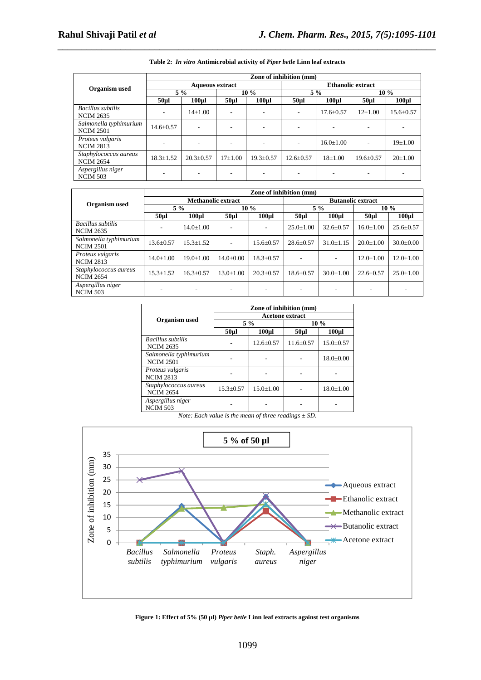|                                              | Zone of inhibition (mm) |                  |                 |                  |                          |                  |                 |                  |  |  |
|----------------------------------------------|-------------------------|------------------|-----------------|------------------|--------------------------|------------------|-----------------|------------------|--|--|
| Organism used                                | <b>Aqueous extract</b>  |                  |                 |                  | <b>Ethanolic extract</b> |                  |                 |                  |  |  |
|                                              | $5\%$                   |                  | $10\%$          |                  | $5\%$                    |                  | $10\%$          |                  |  |  |
|                                              | 50 <sub>µ</sub>         | 100 <sub>µ</sub> | 50 <sub>µ</sub> | 100 <sub>µ</sub> | 50 <sub>µ</sub>          | 100 <sub>µ</sub> | 50 <sub>µ</sub> | 100 <sub>µ</sub> |  |  |
| <b>Bacillus</b> subtilis<br><b>NCIM 2635</b> |                         | $14+1.00$        |                 |                  | ۰                        | $17.6 \pm 0.57$  | $12+1.00$       | $15.6 \pm 0.57$  |  |  |
| Salmonella typhimurium<br><b>NCIM 2501</b>   | $14.6 \pm 0.57$         |                  |                 |                  | ۰                        |                  |                 |                  |  |  |
| Proteus vulgaris<br><b>NCIM 2813</b>         |                         |                  |                 |                  | ۰                        | $16.0 \pm 1.00$  |                 | $19\pm1.00$      |  |  |
| Staphylococcus aureus<br><b>NCIM 2654</b>    | $18.3 \pm 1.52$         | $20.3 \pm 0.57$  | $17\pm1.00$     | $19.3 \pm 0.57$  | $12.6 \pm 0.57$          | $18 \pm 1.00$    | $19.6 \pm 0.57$ | $20 \pm 1.00$    |  |  |
| Aspergillus niger<br><b>NCIM 503</b>         |                         |                  |                 |                  |                          |                  |                 |                  |  |  |

## *\_\_\_\_\_\_\_\_\_\_\_\_\_\_\_\_\_\_\_\_\_\_\_\_\_\_\_\_\_\_\_\_\_\_\_\_\_\_\_\_\_\_\_\_\_\_\_\_\_\_\_\_\_\_\_\_\_\_\_\_\_\_\_\_\_\_\_\_\_\_\_\_\_\_\_\_\_\_* **Table 2:** *In vitro* **Antimicrobial activity of** *Piper betle* **Linn leaf extracts**

|                                            | Zone of inhibition (mm)   |                 |                 |                   |                          |                 |                 |                 |  |  |
|--------------------------------------------|---------------------------|-----------------|-----------------|-------------------|--------------------------|-----------------|-----------------|-----------------|--|--|
| Organism used                              | <b>Methanolic extract</b> |                 |                 |                   | <b>Butanolic extract</b> |                 |                 |                 |  |  |
|                                            | $5\%$                     |                 | $10\%$          |                   | $5\%$                    |                 | $10\%$          |                 |  |  |
|                                            | $50 \mu$                  | 100ul           | $50 \mu$ l      | 100 <sub>ul</sub> | 50 <sub>µ</sub>          | 100ul           | 50 <sub>µ</sub> | $100 \mu l$     |  |  |
| Bacillus subtilis<br><b>NCIM 2635</b>      |                           | $14.0 \pm 1.00$ |                 |                   | $25.0 \pm 1.00$          | $32.6 \pm 0.57$ | $16.0 \pm 1.00$ | $25.6 \pm 0.57$ |  |  |
| Salmonella typhimurium<br><b>NCIM 2501</b> | $13.6 \pm 0.57$           | $15.3 \pm 1.52$ |                 | $15.6 \pm 0.57$   | $28.6 \pm 0.57$          | $31.0 \pm 1.15$ | $20.0 \pm 1.00$ | $30.0 \pm 0.00$ |  |  |
| Proteus vulgaris<br><b>NCIM 2813</b>       | $14.0 + 1.00$             | $19.0 \pm 1.00$ | $14.0 \pm 0.00$ | $18.3 \pm 0.57$   |                          |                 | $12.0 \pm 1.00$ | $12.0 \pm 1.00$ |  |  |
| Staphylococcus aureus<br><b>NCIM 2654</b>  | $15.3 \pm 1.52$           | $16.3 \pm 0.57$ | $13.0 \pm 1.00$ | $20.3 \pm 0.57$   | $18.6 \pm 0.57$          | $30.0 \pm 1.00$ | $22.6 \pm 0.57$ | $25.0 \pm 1.00$ |  |  |
| Aspergillus niger<br><b>NCIM 503</b>       |                           | ۰               |                 |                   |                          |                 |                 |                 |  |  |

|                                              | Zone of inhibition (mm) |                 |               |                 |  |  |  |  |  |
|----------------------------------------------|-------------------------|-----------------|---------------|-----------------|--|--|--|--|--|
|                                              | <b>Acetone extract</b>  |                 |               |                 |  |  |  |  |  |
| Organism used                                | $5\%$                   |                 | $10\%$        |                 |  |  |  |  |  |
|                                              | $50\mu$ l               | $100\mu$ l      | $50\mu$ l     | $100 \mu l$     |  |  |  |  |  |
| <b>Bacillus</b> subtilis<br><b>NCIM 2635</b> |                         | $12.6 + 0.57$   | $11.6 + 0.57$ | $15.0 \pm 0.57$ |  |  |  |  |  |
| Salmonella typhimurium<br><b>NCIM 2501</b>   |                         |                 |               | $18.0 \pm 0.00$ |  |  |  |  |  |
| Proteus vulgaris<br><b>NCIM 2813</b>         |                         |                 |               |                 |  |  |  |  |  |
| Staphylococcus aureus<br><b>NCIM 2654</b>    | $15.3 + 0.57$           | $15.0 \pm 1.00$ |               | $18.0 \pm 1.00$ |  |  |  |  |  |
| Aspergillus niger<br><b>NCIM 503</b>         |                         |                 |               |                 |  |  |  |  |  |

*Note: Each value is the mean of three readings ± SD.* 



#### **Figure 1: Effect of 5% (50 µl)** *Piper betle* **Linn leaf extracts against test organisms**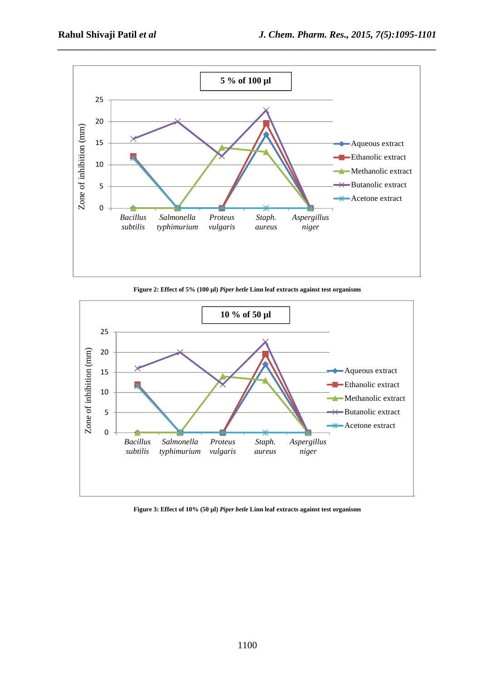

*\_\_\_\_\_\_\_\_\_\_\_\_\_\_\_\_\_\_\_\_\_\_\_\_\_\_\_\_\_\_\_\_\_\_\_\_\_\_\_\_\_\_\_\_\_\_\_\_\_\_\_\_\_\_\_\_\_\_\_\_\_\_\_\_\_\_\_\_\_\_\_\_\_\_\_\_\_\_*

**Figure 2: Effect of 5% (100 µl)** *Piper betle* **Linn leaf extracts against test organisms** 



**Figure 3: Effect of 10% (50 µl)** *Piper betle* **Linn leaf extracts against test organisms**